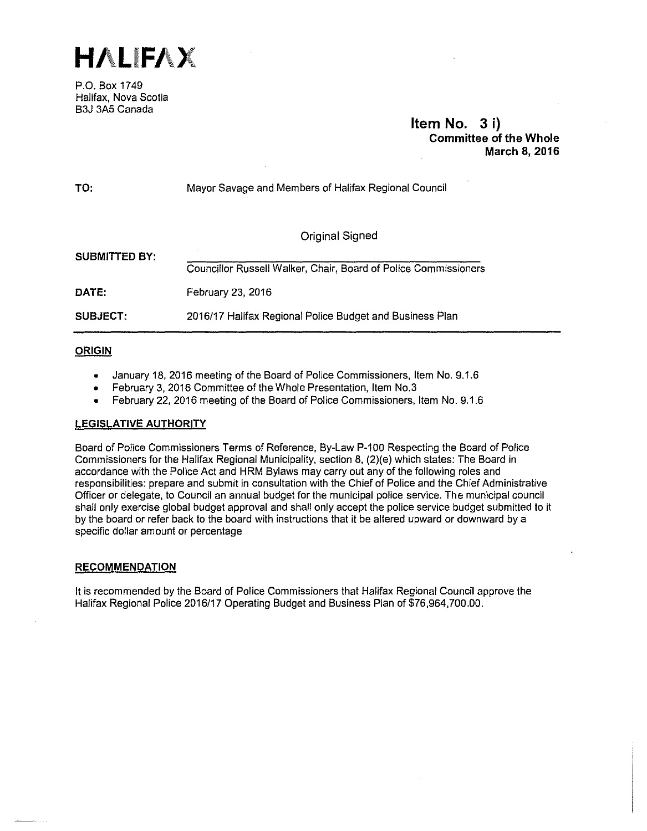

P.O. Box 1749 Halifax, Nova Scotia B3J 3A5 Canada

> **Item No. 3 i) Committee of the Whole March 8, 2016**

| TO:             | Mayor Savage and Members of Halifax Regional Council            |
|-----------------|-----------------------------------------------------------------|
|                 | Original Signed                                                 |
| SUBMITTED BY:   | Councillor Russell Walker, Chair, Board of Police Commissioners |
| DATE:           | February 23, 2016                                               |
| <b>SUBJECT:</b> | 2016/17 Halifax Regional Police Budget and Business Plan        |

# **ORIGIN**

- January 18, 2016 meeting of the Board of Police Commissioners, Item No. g, 1.6
- February 3, 2016 Committee of the Whole Presentation, Item No.3
- February 22, 2016 meeting of the Board of Police Commissioners, Item No. 9.1.6

# **LEGISLATIVE AUTHORITY**

Board of Police Commissioners Terms of Reference, By-Law P-100 Respecting the Board of Police Commissioners for the Halifax Regional Municipality, section 8, (2)(e) which states: The Board in accordance with the Police Act and HRM Bylaws may carry out any of the following roles and responsibilities: prepare and submit in consultation with the Chief of Police and the Chief Administrative Officer or delegate, to Council an annual budget for the municipal police service. The municipal council shall only exercise global budget approval and shall only accept the police service budget submitted to it by the board or refer back to the board with instructions that it be altered upward or downward by a specific dollar amount or percentage

# **RECOMMENDATION**

It is recommended by the Board of Police Commissioners that Halifax Regional Council approve the Halifax Regional Police 2016/17 Operating Budget and Business Plan of \$76,964,700.00.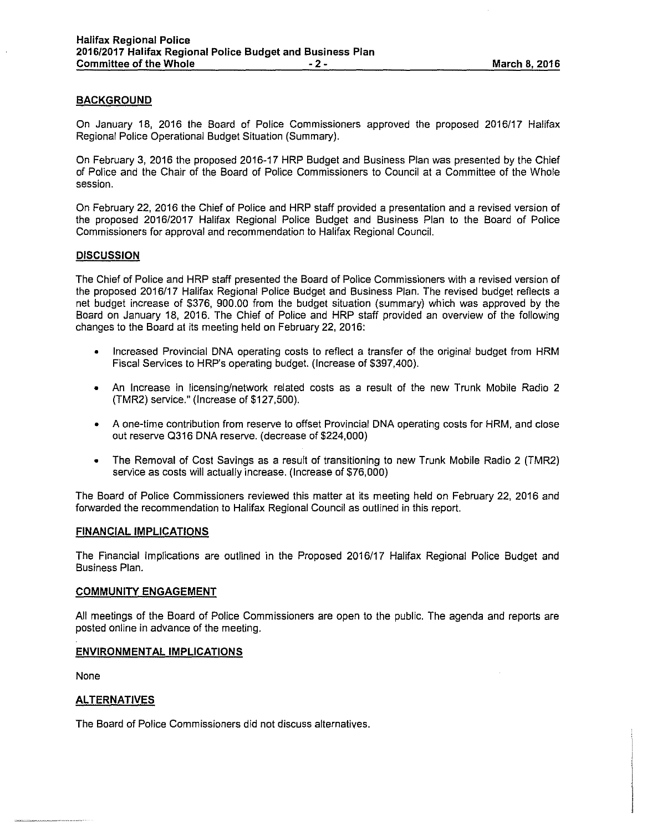# **BACKGROUND**

On January 18, 2016 the Board of Police Commissioners approved the proposed 2016/17 Halifax Regional Police Operational Budget Situation (Summary).

On February 3, 2016 the proposed 2016-17 HRP Budget and Business Plan was presented by the Chief of Police and the Chair of the Board of Police Commissioners to Council at a Committee of the Whole session.

On February 22, 2016 the Chief of Police and HRP staff provided a presentation and a revised version of the proposed 2016/2017 Halifax Regional Police Budget and Business Plan to the Board of Police Commissioners for approval and recommendation to Halifax Regional Council.

### **DISCUSSION**

The Chief of Police and HRP staff presented the Board of Police Commissioners with a revised version of the proposed 2016/17 Halifax Regional Police Budget and Business Plan. The revised budget reflects a net budget increase of \$376, 900.00 from the budget situation (summary) which was approved by the Board on January 18, 2016. The Chief of Police and HRP staff provided an overview of the following changes to the Board at its meeting held on February 22, 2016:

- Increased Provincial DNA operating costs to reflect a transfer of the original budget from HRM Fiscal Services to HRP's operating budget. (Increase of \$397,400).
- An Increase in licensing/network related costs as a result of the new Trunk Mobile Radio 2 (TMR2) service." (Increase of \$127,500).
- A one-time contribution from reserve to offset Provincial DNA operating costs for HRM, and close out reserve 0316 DNA reserve. (decrease of \$224,000)
- The Removal of Cost Savings as a result of transitioning to new Trunk Mobile Radio 2 (TMR2) service as costs will actually increase. (Increase of \$76,000)

The Board of Police Commissioners reviewed this matter at its meeting held on February 22, 2016 and forwarded the recommendation to Halifax Regional Council as outlined in this report.

### **FINANCIAL IMPLICATIONS**

The Financial Implications are outlined in the Proposed 2016/17 Halifax Regional Police Budget and Business Plan.

#### **COMMUNITY ENGAGEMENT**

All meetings of the Board of Police Commissioners are open to the public. The agenda and reports are posted online in advance of the meeting.

#### **ENVIRONMENTAL IMPLICATIONS**

None

## **ALTERNATIVES**

The Board of Police Commissioners did not discuss alternatives.